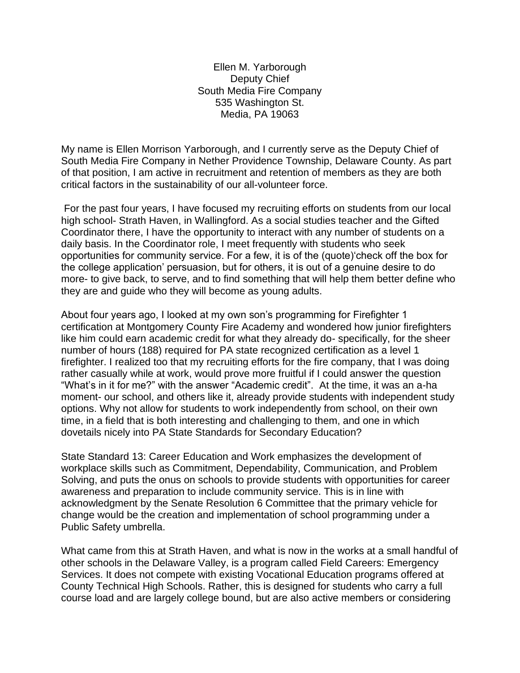Ellen M. Yarborough Deputy Chief South Media Fire Company 535 Washington St. Media, PA 19063

My name is Ellen Morrison Yarborough, and I currently serve as the Deputy Chief of South Media Fire Company in Nether Providence Township, Delaware County. As part of that position, I am active in recruitment and retention of members as they are both critical factors in the sustainability of our all-volunteer force.

For the past four years, I have focused my recruiting efforts on students from our local high school- Strath Haven, in Wallingford. As a social studies teacher and the Gifted Coordinator there, I have the opportunity to interact with any number of students on a daily basis. In the Coordinator role, I meet frequently with students who seek opportunities for community service. For a few, it is of the (quote)'check off the box for the college application' persuasion, but for others, it is out of a genuine desire to do more- to give back, to serve, and to find something that will help them better define who they are and guide who they will become as young adults.

About four years ago, I looked at my own son's programming for Firefighter 1 certification at Montgomery County Fire Academy and wondered how junior firefighters like him could earn academic credit for what they already do- specifically, for the sheer number of hours (188) required for PA state recognized certification as a level 1 firefighter. I realized too that my recruiting efforts for the fire company, that I was doing rather casually while at work, would prove more fruitful if I could answer the question "What's in it for me?" with the answer "Academic credit". At the time, it was an a-ha moment- our school, and others like it, already provide students with independent study options. Why not allow for students to work independently from school, on their own time, in a field that is both interesting and challenging to them, and one in which dovetails nicely into PA State Standards for Secondary Education?

State Standard 13: Career Education and Work emphasizes the development of workplace skills such as Commitment, Dependability, Communication, and Problem Solving, and puts the onus on schools to provide students with opportunities for career awareness and preparation to include community service. This is in line with acknowledgment by the Senate Resolution 6 Committee that the primary vehicle for change would be the creation and implementation of school programming under a Public Safety umbrella.

What came from this at Strath Haven, and what is now in the works at a small handful of other schools in the Delaware Valley, is a program called Field Careers: Emergency Services. It does not compete with existing Vocational Education programs offered at County Technical High Schools. Rather, this is designed for students who carry a full course load and are largely college bound, but are also active members or considering